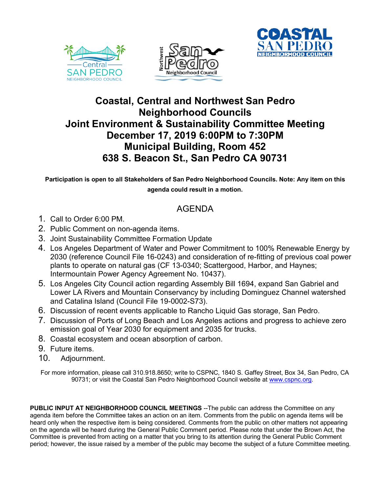





## **Coastal, Central and Northwest San Pedro Neighborhood Councils Joint Environment & Sustainability Committee Meeting December 17, 2019 6:00PM to 7:30PM Municipal Building, Room 452 638 S. Beacon St., San Pedro CA 90731**

**Participation is open to all Stakeholders of San Pedro Neighborhood Councils. Note: Any item on this agenda could result in a motion.**

## AGENDA

- 1. Call to Order 6:00 PM.
- 2. Public Comment on non-agenda items.
- 3. Joint Sustainability Committee Formation Update
- 4. Los Angeles Department of Water and Power Commitment to 100% Renewable Energy by 2030 (reference Council File 16-0243) and consideration of re-fitting of previous coal power plants to operate on natural gas (CF 13-0340; Scattergood, Harbor, and Haynes; Intermountain Power Agency Agreement No. 10437).
- 5. Los Angeles City Council action regarding Assembly Bill 1694, expand San Gabriel and Lower LA Rivers and Mountain Conservancy by including Dominguez Channel watershed and Catalina Island (Council File 19-0002-S73).
- 6. Discussion of recent events applicable to Rancho Liquid Gas storage, San Pedro.
- 7. Discussion of Ports of Long Beach and Los Angeles actions and progress to achieve zero emission goal of Year 2030 for equipment and 2035 for trucks.
- 8. Coastal ecosystem and ocean absorption of carbon.
- 9. Future items.
- 10. Adjournment.

For more information, please call 310.918.8650; write to CSPNC, 1840 S. Gaffey Street, Box 34, San Pedro, CA 90731; or visit the Coastal San Pedro Neighborhood Council website at www.cspnc.org.

**PUBLIC INPUT AT NEIGHBORHOOD COUNCIL MEETINGS** --The public can address the Committee on any agenda item before the Committee takes an action on an item. Comments from the public on agenda items will be heard only when the respective item is being considered. Comments from the public on other matters not appearing on the agenda will be heard during the General Public Comment period. Please note that under the Brown Act, the Committee is prevented from acting on a matter that you bring to its attention during the General Public Comment period; however, the issue raised by a member of the public may become the subject of a future Committee meeting.